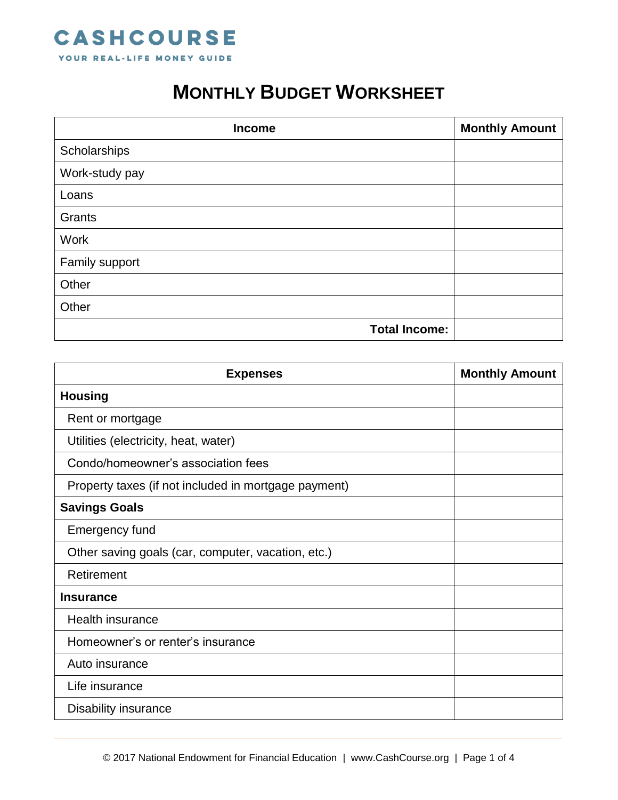

## **MONTHLY BUDGET WORKSHEET**

| <b>Income</b>        | <b>Monthly Amount</b> |
|----------------------|-----------------------|
| Scholarships         |                       |
| Work-study pay       |                       |
| Loans                |                       |
| Grants               |                       |
| <b>Work</b>          |                       |
| Family support       |                       |
| Other                |                       |
| Other                |                       |
| <b>Total Income:</b> |                       |

| <b>Expenses</b>                                      | <b>Monthly Amount</b> |
|------------------------------------------------------|-----------------------|
| <b>Housing</b>                                       |                       |
| Rent or mortgage                                     |                       |
| Utilities (electricity, heat, water)                 |                       |
| Condo/homeowner's association fees                   |                       |
| Property taxes (if not included in mortgage payment) |                       |
| <b>Savings Goals</b>                                 |                       |
| <b>Emergency fund</b>                                |                       |
| Other saving goals (car, computer, vacation, etc.)   |                       |
| Retirement                                           |                       |
| <b>Insurance</b>                                     |                       |
| <b>Health insurance</b>                              |                       |
| Homeowner's or renter's insurance                    |                       |
| Auto insurance                                       |                       |
| Life insurance                                       |                       |
| Disability insurance                                 |                       |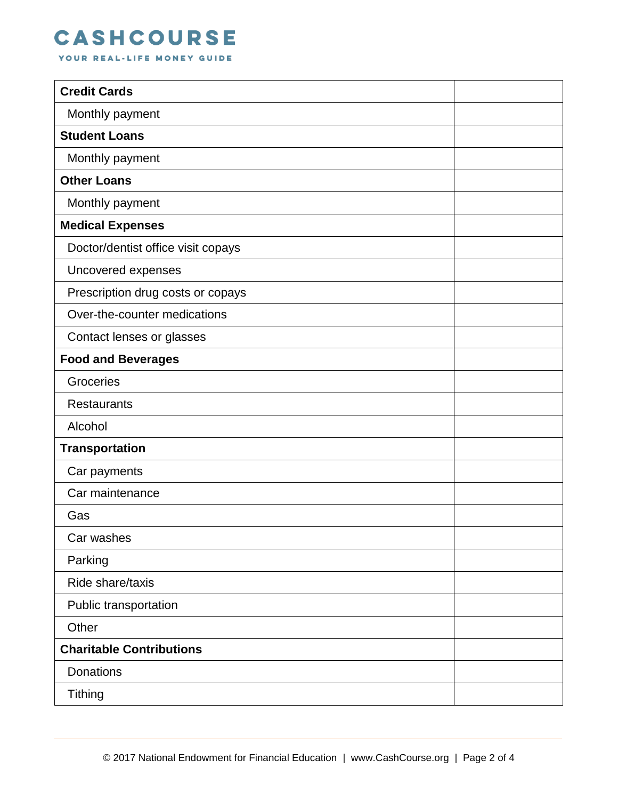## **CASHCOURSE**

YOUR REAL-LIFE MONEY GUIDE

| <b>Credit Cards</b>                |  |
|------------------------------------|--|
| Monthly payment                    |  |
| <b>Student Loans</b>               |  |
| Monthly payment                    |  |
| <b>Other Loans</b>                 |  |
| Monthly payment                    |  |
| <b>Medical Expenses</b>            |  |
| Doctor/dentist office visit copays |  |
| Uncovered expenses                 |  |
| Prescription drug costs or copays  |  |
| Over-the-counter medications       |  |
| Contact lenses or glasses          |  |
| <b>Food and Beverages</b>          |  |
| Groceries                          |  |
| <b>Restaurants</b>                 |  |
| Alcohol                            |  |
| <b>Transportation</b>              |  |
| Car payments                       |  |
| Car maintenance                    |  |
| Gas                                |  |
| Car washes                         |  |
| Parking                            |  |
| Ride share/taxis                   |  |
| Public transportation              |  |
| Other                              |  |
| <b>Charitable Contributions</b>    |  |
| Donations                          |  |
| <b>Tithing</b>                     |  |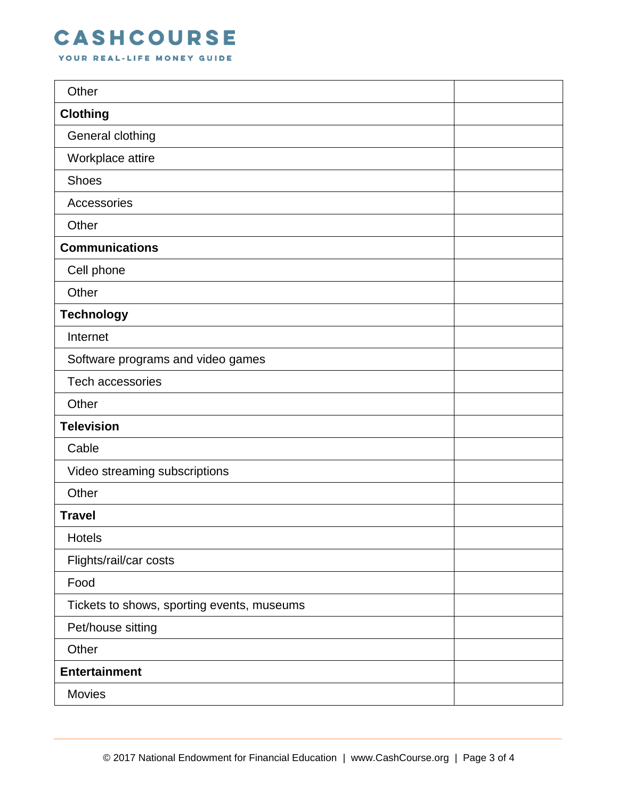## **CASHCOURSE**

YOUR REAL-LIFE MONEY GUIDE

| Other                                      |  |
|--------------------------------------------|--|
| <b>Clothing</b>                            |  |
| General clothing                           |  |
| Workplace attire                           |  |
| <b>Shoes</b>                               |  |
| Accessories                                |  |
| Other                                      |  |
| <b>Communications</b>                      |  |
| Cell phone                                 |  |
| Other                                      |  |
| <b>Technology</b>                          |  |
| Internet                                   |  |
| Software programs and video games          |  |
| <b>Tech accessories</b>                    |  |
| Other                                      |  |
| <b>Television</b>                          |  |
| Cable                                      |  |
| Video streaming subscriptions              |  |
| Other                                      |  |
| <b>Travel</b>                              |  |
| Hotels                                     |  |
| Flights/rail/car costs                     |  |
| Food                                       |  |
| Tickets to shows, sporting events, museums |  |
| Pet/house sitting                          |  |
| Other                                      |  |
| <b>Entertainment</b>                       |  |
| Movies                                     |  |